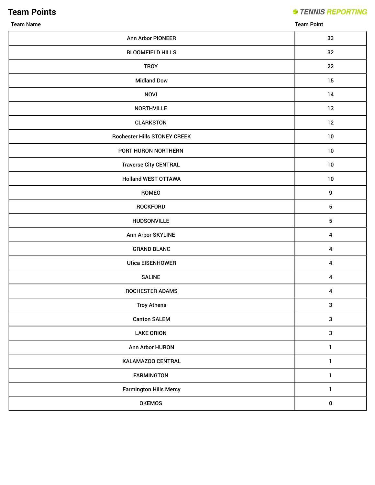**Team Points**

**STENNIS REPORTING** 

Team Name Team Point

| Ann Arbor PIONEER                   | 33                      |
|-------------------------------------|-------------------------|
| <b>BLOOMFIELD HILLS</b>             | 32                      |
| <b>TROY</b>                         | 22                      |
| <b>Midland Dow</b>                  | 15                      |
| <b>NOVI</b>                         | 14                      |
| <b>NORTHVILLE</b>                   | 13                      |
| <b>CLARKSTON</b>                    | 12                      |
| <b>Rochester Hills STONEY CREEK</b> | 10                      |
| PORT HURON NORTHERN                 | 10                      |
| <b>Traverse City CENTRAL</b>        | 10                      |
| <b>Holland WEST OTTAWA</b>          | 10                      |
| ROMEO                               | $\boldsymbol{9}$        |
| <b>ROCKFORD</b>                     | $\sqrt{5}$              |
| <b>HUDSONVILLE</b>                  | 5                       |
| Ann Arbor SKYLINE                   | $\boldsymbol{4}$        |
| <b>GRAND BLANC</b>                  | 4                       |
| <b>Utica EISENHOWER</b>             | $\pmb{4}$               |
| <b>SALINE</b>                       | $\overline{\mathbf{4}}$ |
| <b>ROCHESTER ADAMS</b>              | $\pmb{4}$               |
| <b>Troy Athens</b>                  | $\mathbf{3}$            |
| <b>Canton SALEM</b>                 | $\mathsf 3$             |
| <b>LAKE ORION</b>                   | $\mathbf{3}$            |
| Ann Arbor HURON                     | $\mathbf{1}$            |
| KALAMAZOO CENTRAL                   | $\mathbf{1}$            |
| <b>FARMINGTON</b>                   | $\mathbf{1}$            |
| <b>Farmington Hills Mercy</b>       | $\mathbf{1}$            |
| <b>OKEMOS</b>                       | $\pmb{0}$               |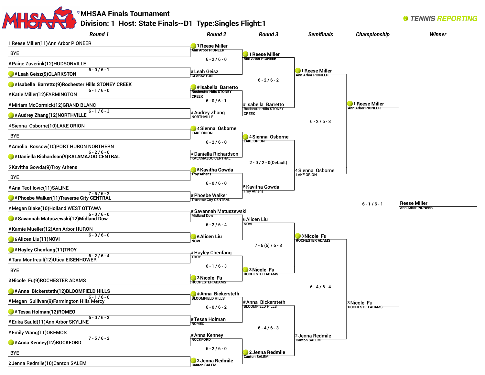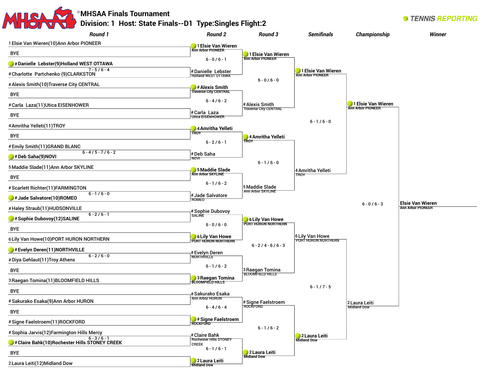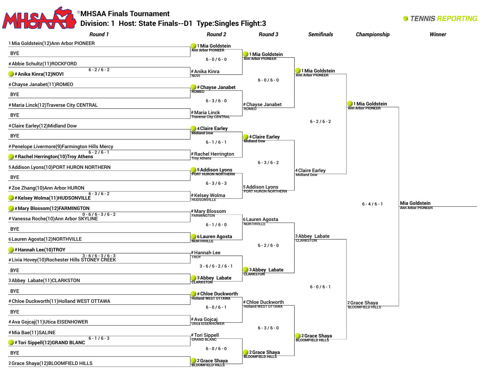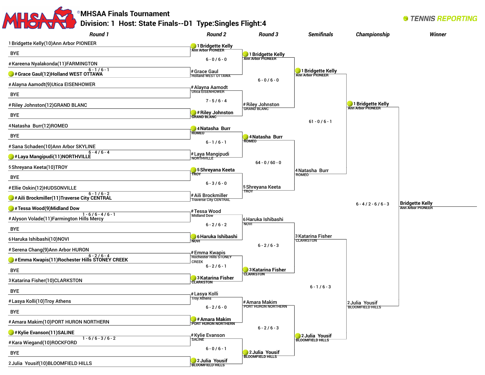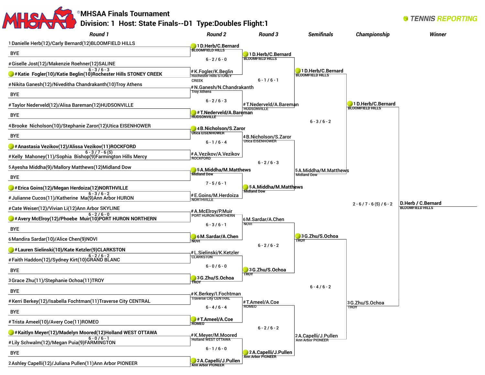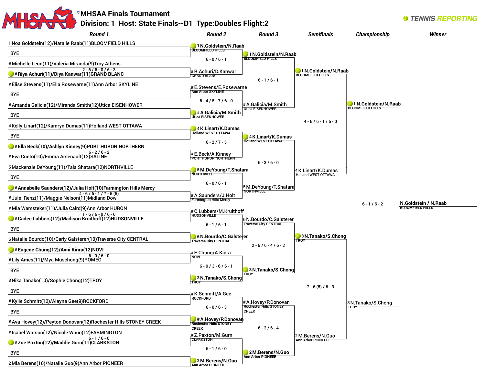

2M.Berens/N.Guo Ann Arbor PIONEER

| # AVa Hovey(12)/Peyton Donovan(12)Rochester Hills STUNEY CREEK | <b>Rochester Hills STONEY</b>               |                          |
|----------------------------------------------------------------|---------------------------------------------|--------------------------|
|                                                                | <b>CREEK</b>                                | $6 - 2/6 - 4$            |
| #Isabel Watson(12)/Nicole Waun(12)FARMINGTON                   | #Z.Paxton/M.Gurn                            |                          |
| $6 - 1/6 - 0$<br>#Zoe Paxton(12)/Maddie Gurn(11)CLARKSTON      | <b>CLARKSTON</b>                            |                          |
| <b>BYE</b>                                                     | $6 - 1/6 - 0$                               | 2M.Berens/N.Guo          |
| 2 Mia Berens(10)/Natalie Guo(9)Ann Arbor PIONEER               | 2M.Berens/N.Guo<br><b>Ann Arbor PIONEER</b> | <b>Ann Arbor PIONEER</b> |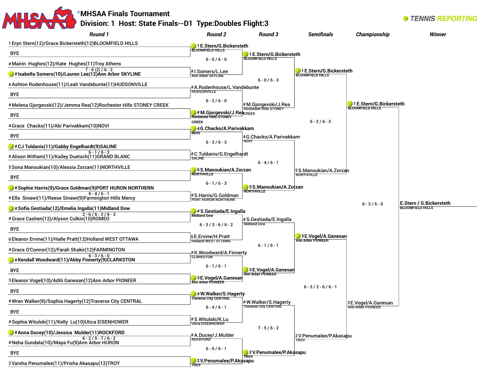#### **MHSAA Finals Tournament STENNIS REPORTING Division: 1 Host: State Finals--D1 Type:Doubles Flight:3** *Round 1 Round 2 Round 3* **Semifinals** Championship **Winner** 1Eryn Stern(12)/Grace Bickersteth(12)BLOOMFIELD HILLS **1E.Stern/G.Bickersteth BLOOMFIELD HILLS** BYE **1E.Stern/G.Bickersteth BLOOMFIELD HILLS**  $6 - 0 / 6 - 0$ #Mairin Hughes(12)/Kate Hughes(11)Troy Athens  $7 - 6(2) / 6 - 2$ **1E.Stern/G.Bickersteth** #I.Somers/L.Lee **#Isabella Somers(10)/Lauren Lee(12)Ann Arbor SKYLINE BLOOMFIELD HILLS** Ann Arbor SKYLINE  $6 - 0 / 6 - 3$ #Ashton Rodenhouse(11)/Leah Vandebunte(11)HUDSONVILLE #A.Rodenhouse/L.Vandebunte **HUDSONVILLE** BYE  $6 - 2 / 6 - 0$ **1E.Stern/G.Bickersteth** #Melena Gjorgevski(12)/Jemma Rea(12)Rochester Hills STONEY CREEK #M.Gjorgevski/J.Rea **BLOOMFIELD HILLS** Rochester Hills STONEY **# M.Gjorgevski/J.Rea**creek<br>Rochester Hills STONEY BYE **CREEK**  $6 - 2 / 6 - 3$ 4Grace Chacko(11)/Abi Parivakkam(10)NOVI **4G.Chacko/A.Parivakkam NOVI**  BYE 4G.Chacko/A.Parivakkam NOVI  $6 - 3 / 6 - 3$ **#CJ Tuldanis(11)/Gabby Engelhardt(9)SALINE**  6 - 1 / 6 - 3 #Alison Witham(11)/Kailey Duetsch(11)GRAND BLANC #C.Tuldanis/G.Engelhardt **CALINE**  $6 - 4 / 6 - 1$ 5Sona Manoukian(10)/Alessia Zorzan(11)NORTHVILLE **5S.Manoukian/A.Zorzan** 5S.Manoukian/A.Zorzan **NORTHVILLE NORTHVILLE** BYE  $6 - 1 / 6 - 3$ **5S.Manoukian/A.Zorzan #Sophie Harris(9)/Grace Goldman(9)PORT HURON NORTHERN NORTHVILLE**   $6 - 4 / 6 - 1$ #S.Harris/G.Goldman #Ella Sinawi(11)/Reese Sinawi(9)Farmington Hills Mercy PORT HURON NORTHERN **E.Stern / G.Bickersteth**  $6 - 3 / 6 - 0$ **BLOOMFIELD HILLS#Sofia Gestiada(12)/Emelia Ingalla(11)Midland Dow #S.Gestiada/E.Ingalla**  $2 - 6 / 6 - 2 / 6 - 3$ **Midland Dow** #Grace Cashen(12)/Alyson Culkin(10)ROMEO #S.Gestiada/E.Ingalla Midland Dow  $6 - 3 / 3 - 6 / 6 - 2$ BYE **3E.Vogel/A.Ganesan** 6E.Ervine/H.Pratt 6Eleanor Ervine(11)/Halle Pratt(12)Holland WEST OTTAWA **Ann Arbor PIONEER** Holland WEST OTTAWA  $6 - 1 / 6 - 1$ #Grace O'Connor(12)/Farah Shakir(12)FARMINGTON #K.Woodward/A.Finnerty  $6 - 3 / 6 - 0$ CLARKSTON **#Kendall Woodward(11)/Abby Finnerty(9)CLARKSTON**   $6 - 1 / 6 - 1$ BYE **3E.Vogel/A.Ganesan Ann Arbor PIONEER 3E.Vogel/A.Ganesan** 3Eleanor Vogel(10)/Aditi Ganesan(12)Ann Arbor PIONEER **Ann Arbor PIONEER**  $6 - 3 / 2 - 6 / 6 - 1$ BYE **#W.Walker/S.Hagerty Traverse City CENTRAL**  #Wren Walker(9)/Sophia Hagerty(12)Traverse City CENTRAL #W.Walker/S.Hagerty 3E.Vogel/A.Ganesan Ann Arbor PIONEER Traverse City CENTRAL  $6 - 4 / 6 - 1$ BYE #S.Witulski/K.Lu #Sophia Witulski(11)/Kelly Lu(10)Utica EISENHOWER Utica EISENHOWER  $7 - 5 / 6 - 2$ **#Anna Ducey(10)/Jessica Mulder(11)ROCKFORD**  #A.Ducey/J.Mulder 2V.Penumalee/P.Akasapu  $6 - 2 / 5 - 7 / 6 - 2$ **ROCKFORD** TROY #Neha Gundala(10)/Maya Fu(9)Ann Arbor HURON  $6 - 0 / 6 - 1$ BYE **2V.Penumalee/P.Akasapu TROY 2V.Penumalee/P.Akasapu**

**TROY** 

2Varsha Penumalee(11)/Prisha Akasapu(12)TROY